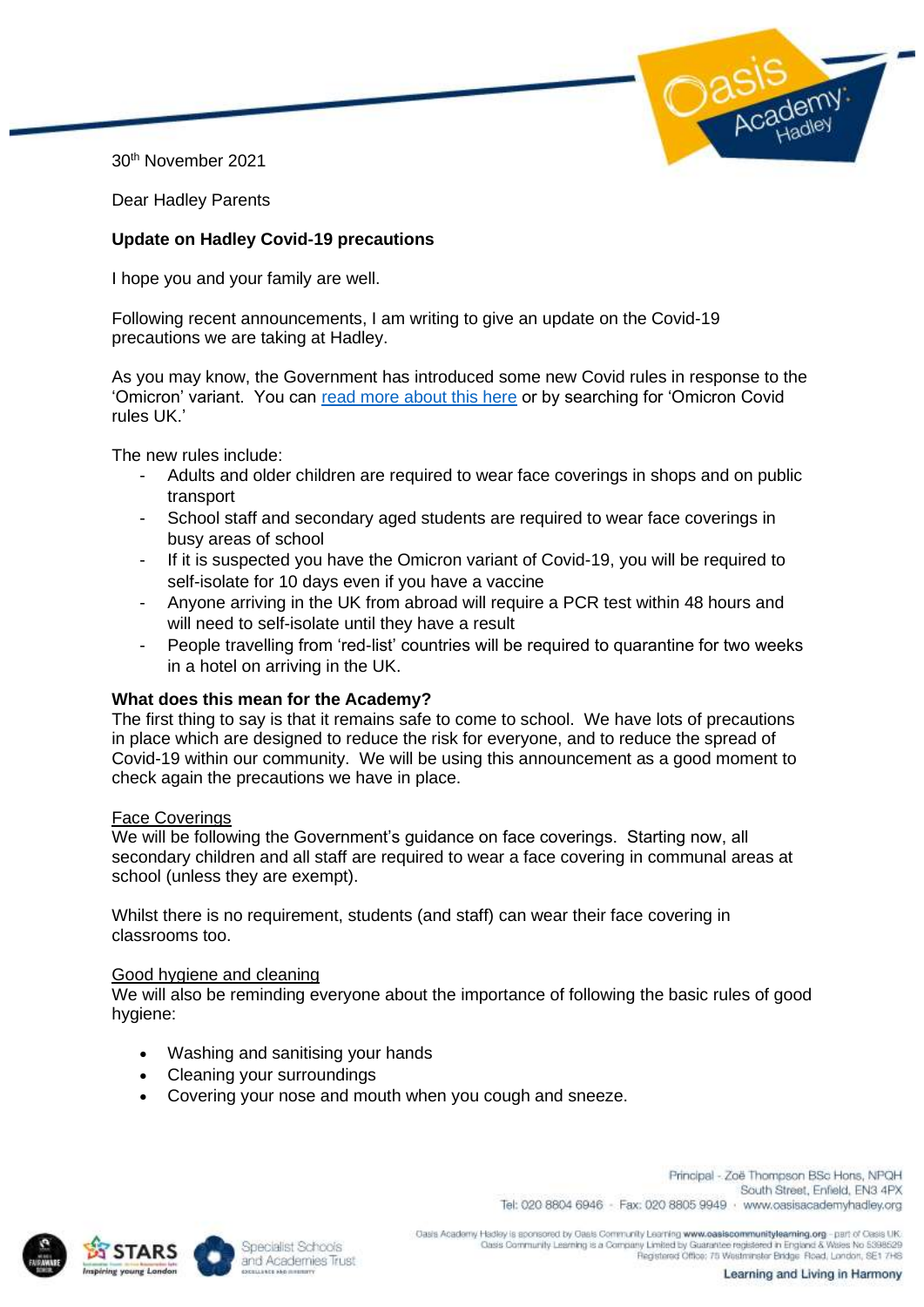30th November 2021

Dear Hadley Parents

# **Update on Hadley Covid-19 precautions**

I hope you and your family are well.

Following recent announcements, I am writing to give an update on the Covid-19 precautions we are taking at Hadley.

As you may know, the Government has introduced some new Covid rules in response to the 'Omicron' variant. You can [read more about this here](https://www.bbc.co.uk/news/explainers-52530518) or by searching for 'Omicron Covid rules UK.'

The new rules include:

- Adults and older children are required to wear face coverings in shops and on public transport
- School staff and secondary aged students are required to wear face coverings in busy areas of school
- If it is suspected you have the Omicron variant of Covid-19, you will be required to self-isolate for 10 days even if you have a vaccine
- Anyone arriving in the UK from abroad will require a PCR test within 48 hours and will need to self-isolate until they have a result
- People travelling from 'red-list' countries will be required to quarantine for two weeks in a hotel on arriving in the UK.

## **What does this mean for the Academy?**

The first thing to say is that it remains safe to come to school. We have lots of precautions in place which are designed to reduce the risk for everyone, and to reduce the spread of Covid-19 within our community. We will be using this announcement as a good moment to check again the precautions we have in place.

#### Face Coverings

We will be following the Government's guidance on face coverings. Starting now, all secondary children and all staff are required to wear a face covering in communal areas at school (unless they are exempt).

Whilst there is no requirement, students (and staff) can wear their face covering in classrooms too.

#### Good hygiene and cleaning

We will also be reminding everyone about the importance of following the basic rules of good hygiene:

- Washing and sanitising your hands
- Cleaning your surroundings
- Covering your nose and mouth when you cough and sneeze.

Principal - Zoë Thompson BSc Hons, NPQH South Street, Enfield, EN3 4PX Tel: 020 8804 6946 - Fax: 020 8805 9949 · www.oasisacademyhadley.org





Oasis Academy Hadley is appreciated by Oasis Community Learning www.casiscommunitylearning.org - part of Cesis UK receive is accessed by Oase Community Learning www.easeburning.org - part of Oasterland and the SSBS29<br>Class Community Learning is a Community Limited by Guarantee registered in England & Wales No 5398529<br>Registered Office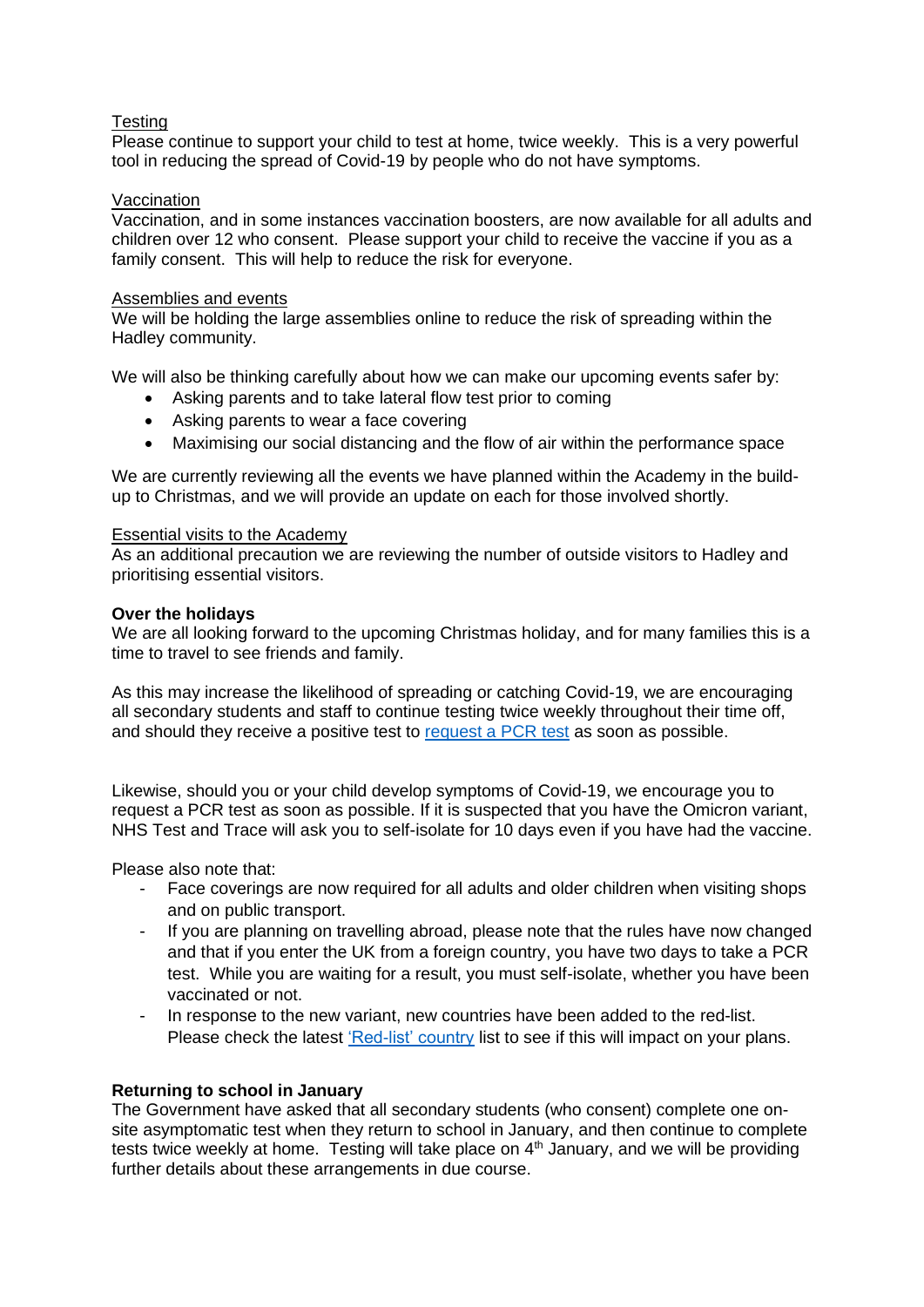## Testing

Please continue to support your child to test at home, twice weekly. This is a very powerful tool in reducing the spread of Covid-19 by people who do not have symptoms.

### Vaccination

Vaccination, and in some instances vaccination boosters, are now available for all adults and children over 12 who consent. Please support your child to receive the vaccine if you as a family consent. This will help to reduce the risk for everyone.

### Assemblies and events

We will be holding the large assemblies online to reduce the risk of spreading within the Hadley community.

We will also be thinking carefully about how we can make our upcoming events safer by:

- Asking parents and to take lateral flow test prior to coming
- Asking parents to wear a face covering
- Maximising our social distancing and the flow of air within the performance space

We are currently reviewing all the events we have planned within the Academy in the buildup to Christmas, and we will provide an update on each for those involved shortly.

### Essential visits to the Academy

As an additional precaution we are reviewing the number of outside visitors to Hadley and prioritising essential visitors.

## **Over the holidays**

We are all looking forward to the upcoming Christmas holiday, and for many families this is a time to travel to see friends and family.

As this may increase the likelihood of spreading or catching Covid-19, we are encouraging all secondary students and staff to continue testing twice weekly throughout their time off, and should they receive a positive test to [request a PCR test](https://www.gov.uk/get-coronavirus-test) as soon as possible.

Likewise, should you or your child develop symptoms of Covid-19, we encourage you to request a PCR test as soon as possible. If it is suspected that you have the Omicron variant, NHS Test and Trace will ask you to self-isolate for 10 days even if you have had the vaccine.

Please also note that:

- Face coverings are now required for all adults and older children when visiting shops and on public transport.
- If you are planning on travelling abroad, please note that the rules have now changed and that if you enter the UK from a foreign country, you have two days to take a PCR test. While you are waiting for a result, you must self-isolate, whether you have been vaccinated or not.
- In response to the new variant, new countries have been added to the red-list. Please check the latest ['Red-list' country](https://www.gov.uk/guidance/red-list-of-countries-and-territories) list to see if this will impact on your plans.

## **Returning to school in January**

The Government have asked that all secondary students (who consent) complete one onsite asymptomatic test when they return to school in January, and then continue to complete tests twice weekly at home. Testing will take place on 4<sup>th</sup> January, and we will be providing further details about these arrangements in due course.